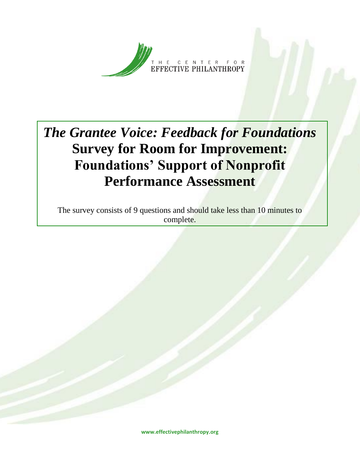

## *The Grantee Voice: Feedback for Foundations* **Survey for Room for Improvement: Foundations' Support of Nonprofit Performance Assessment**

The survey consists of 9 questions and should take less than 10 minutes to complete.

**www.effectivephilanthropy.org**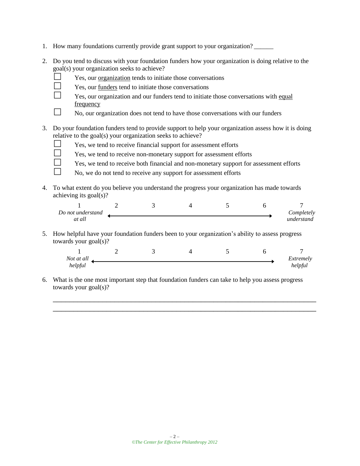- 1. How many foundations currently provide grant support to your organization? \_\_\_\_\_\_
- 2. Do you tend to discuss with your foundation funders how your organization is doing relative to the goal(s) your organization seeks to achieve?
	- $\Box$  Yes, our <u>organization</u> tends to initiate those conversations
	- $\Box$  Yes, our <u>funders</u> tend to initiate those conversations
	- $\Box$  Yes, our organization and our funders tend to initiate those conversations with equal frequency
	- $\Box$  No, our organization does not tend to have those conversations with our funders
- 3. Do your foundation funders tend to provide support to help your organization assess how it is doing relative to the goal(s) your organization seeks to achieve?
	-
	- $\Box$  Yes, we tend to receive financial support for assessment efforts

 $\Box$  Yes, we tend to receive non-monetary support for assessment efforts

- $\Box$  Yes, we tend to receive both financial and non-monetary support for assessment efforts
- $\Box$  No, we do not tend to receive any support for assessment efforts
- 4. To what extent do you believe you understand the progress your organization has made towards achieving its goal(s)?

| Do not understand |  |  | Completely |
|-------------------|--|--|------------|
| at all            |  |  | understand |

5. How helpful have your foundation funders been to your organization's ability to assess progress towards your goal(s)?

| Not at all |  |  | Extremely |
|------------|--|--|-----------|
| helpful    |  |  | helpful   |

\_\_\_\_\_\_\_\_\_\_\_\_\_\_\_\_\_\_\_\_\_\_\_\_\_\_\_\_\_\_\_\_\_\_\_\_\_\_\_\_\_\_\_\_\_\_\_\_\_\_\_\_\_\_\_\_\_\_\_\_\_\_\_\_ \_\_\_\_\_\_\_\_\_\_\_\_\_\_\_\_\_\_\_\_\_\_\_\_\_\_\_\_\_\_\_\_\_\_\_\_\_\_\_\_\_\_\_\_\_\_\_\_\_\_\_\_\_\_\_\_\_\_\_\_\_\_\_\_

6. What is the one most important step that foundation funders can take to help you assess progress towards your goal(s)?